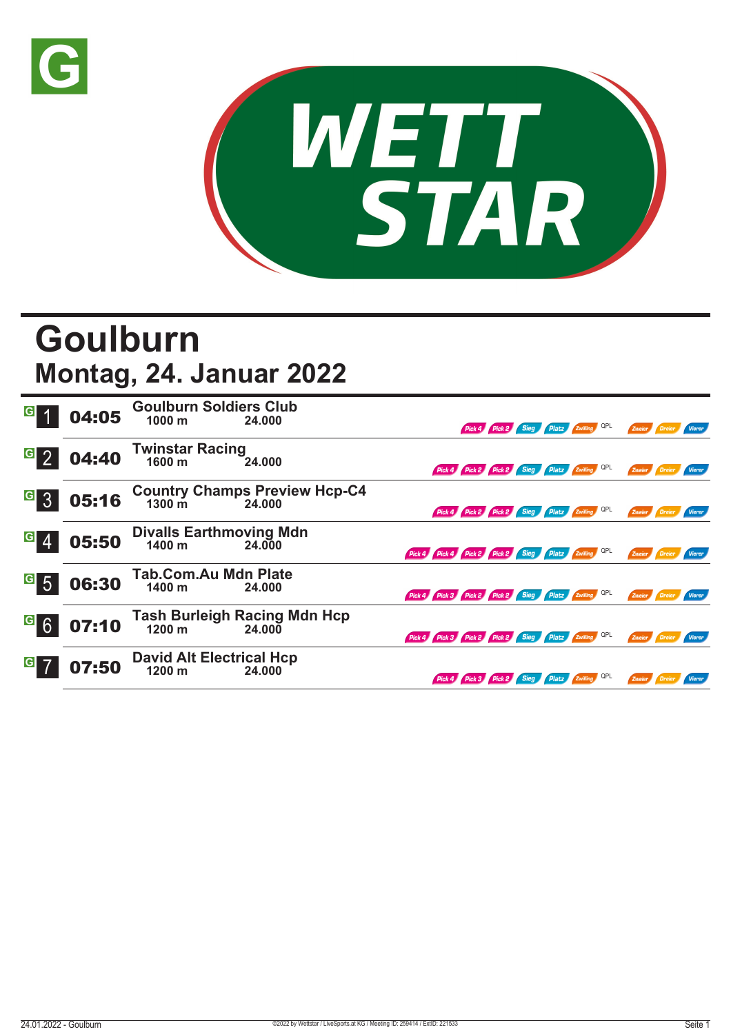



## **Goulburn Montag, 24. Januar 2022**

| $\mathbf{G}$     | 04:05 | <b>Goulburn Soldiers Club</b><br>24.000<br>1000 <sub>m</sub> | Pick 4 Pick 2 Sieg Platz Zwilling QPL<br>Zweier<br>Vierer                      |
|------------------|-------|--------------------------------------------------------------|--------------------------------------------------------------------------------|
| $\overline{G}$   | 04:40 | <b>Twinstar Racing</b><br>1600 m<br>24.000                   | Pick 4 Pick 2 Pick 2 Sieg Platz Zwilling QPL<br>Zweier Dreier<br>Vierer        |
| G 3              | 05:16 | Country Champs Preview Hcp-C4<br>1300 m 24.000               | Pick 4 Pick 2 Pick 2 Sieg Platz Zwilling QPL<br>Zweier Dreier<br>Vierer        |
| $\overline{G}$   | 05:50 | <b>Divalls Earthmoving Mdn</b><br>1400 m<br>24,000           | Pick 4 Pick 4 Pick 2 Pick 2 Sieg Platz Zwilling QPL<br>Zweier                  |
| $\overline{G}$ 5 | 06:30 | <b>Tab.Com.Au Mdn Plate</b><br>1400 m<br>24.000              | Pick 4 Pick 3 Pick 2 Pick 2 Sieg Platz Zwilling QPL<br>Zweier Dreier           |
| $G$ 6            | 07:10 | <b>Tash Burleigh Racing Mdn Hcp</b><br>1200 m<br>24.000      | Pick 4 Pick 3 Pick 2 Pick 2 Sieg Platz Zwilling QPL<br>Zweier<br><b>Vierer</b> |
| $\overline{G}$   | 07:50 | <b>David Alt Electrical Hcp</b><br>1200 m<br>24.000          | Pick 4 Pick 3 Pick 2 Sieg Platz Zwilling QPL<br>Zweier Dreier<br>Vierer        |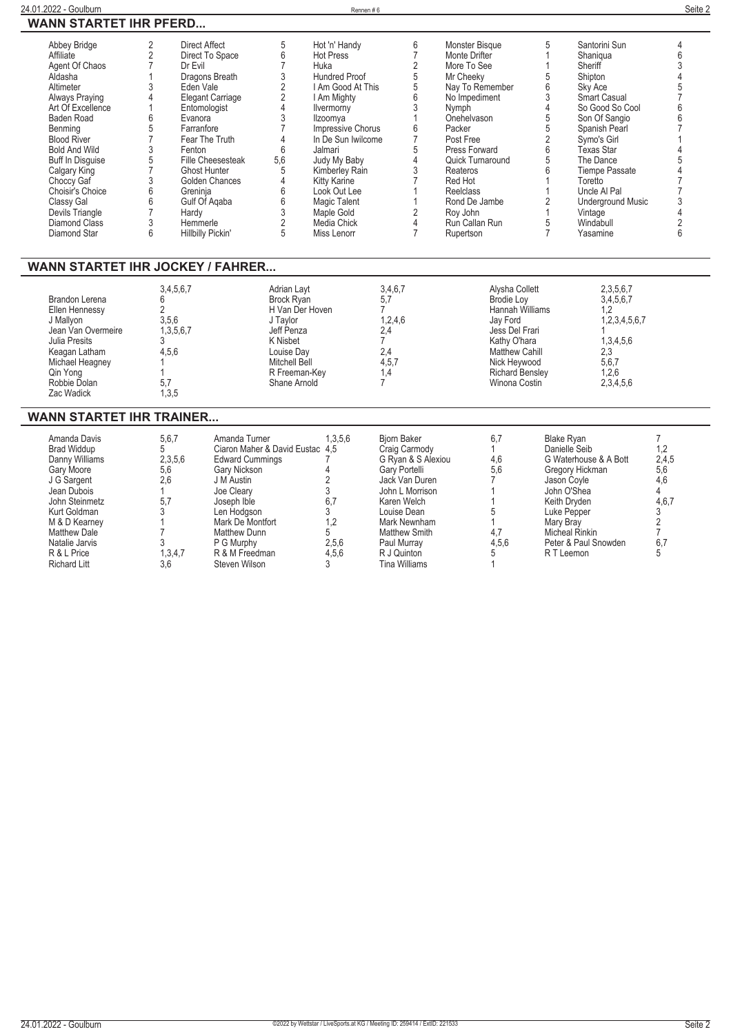| Abbey Bridge<br>Affiliate<br>Agent Of Chaos<br>Aldasha<br>Altimeter<br><b>Always Praying</b><br>Art Of Excellence<br>Baden Road<br>Benming<br><b>Blood River</b><br><b>Bold And Wild</b><br><b>Buff In Disquise</b><br>Calgary King<br>Choccy Gaf<br>Choisir's Choice<br>Classy Gal<br>Devils Triangle<br>Diamond Class<br>Diamond Star | $\overline{2}$<br><b>Direct Affect</b><br>$\overline{2}$<br>$\overline{7}$<br>Dr Evil<br>1<br>3<br>Eden Vale<br>$\overline{4}$<br>1<br>Entomologist<br>6<br>Evanora<br>5<br>Farranfore<br>$\overline{7}$<br>3<br>Fenton<br>5<br>$\overline{7}$<br><b>Ghost Hunter</b><br>3<br>6<br>Greninia<br>6<br>Gulf Of Agaba<br>$\overline{7}$<br>Hardy<br>3<br>Hemmerle<br>6<br>Hillbilly Pickin' | 5<br>$\boldsymbol{6}$<br>Direct To Space<br>$\overline{7}$<br>$\begin{array}{c} 3 \\ 2 \\ 2 \\ 4 \end{array}$<br>Dragons Breath<br>Elegant Carriage<br>3<br>$\overline{7}$<br>$\overline{4}$<br>Fear The Truth<br>6<br><b>Fille Cheesesteak</b><br>5,6<br>5<br>$\overline{\mathcal{L}}$<br>Golden Chances<br>$\,6$<br>$\begin{array}{c} 6 \\ 3 \\ 2 \end{array}$<br>5 | Hot 'n' Handy<br><b>Hot Press</b><br>Huka<br><b>Hundred Proof</b><br>I Am Good At This<br>I Am Mighty<br>Ilvermorny<br>Ilzoomva<br>Impressive Chorus<br>In De Sun Iwilcome<br>Jalmari<br>Judy My Baby<br>Kimberley Rain<br><b>Kitty Karine</b><br>Look Out Lee<br><b>Magic Talent</b><br>Maple Gold<br>Media Chick<br>Miss Lenorr | 6<br>$\overline{7}$<br>$\sqrt{2}$<br>5<br>$\overline{5}$<br>6<br>3<br>$\overline{1}$<br>6<br>$\overline{7}$<br>5<br>$\overline{4}$<br>$\mathfrak{z}$<br>$\overline{7}$<br>1<br>1<br>$\overline{2}$<br>$\overline{4}$<br>$\overline{7}$      | Monster Bisque<br>Monte Drifter<br>More To See<br>Mr Cheekv<br>Nay To Remember<br>No Impediment<br>Nymph<br>Onehelvason<br>Packer<br>Post Free<br>Press Forward<br>Quick Turnaround<br>Reateros<br>Red Hot<br>Reelclass<br>Rond De Jambe<br>Rov John<br>Run Callan Run<br>Rupertson | 5<br>$\mathbf{1}$<br>1<br>5<br>6<br>3<br>$\overline{4}$<br>5<br>5<br>$\overline{2}$<br>6<br>5<br>6<br>$\mathbf{1}$<br>1<br>$\overline{2}$<br>$\mathbf{1}$<br>5<br>$\overline{7}$ | Santorini Sun<br>Shaniqua<br>Sheriff<br>Shipton<br>Sky Ace<br><b>Smart Casual</b><br>So Good So Cool<br>Son Of Sangio<br>Spanish Pearl<br>Symo's Girl<br><b>Texas Star</b><br>The Dance<br><b>Tiempe Passate</b><br>Toretto<br>Uncle Al Pal<br><b>Underground Music</b><br>Vintage<br>Windabull<br>Yasamine | 4<br>6<br>$\overline{3}$<br>4<br>5<br>$\overline{7}$<br>6<br>6<br>$\overline{7}$<br>5<br>$\overline{4}$<br>$\overline{7}$<br>7<br>3<br>$\overline{4}$<br>$\overline{2}$<br>6 |
|-----------------------------------------------------------------------------------------------------------------------------------------------------------------------------------------------------------------------------------------------------------------------------------------------------------------------------------------|-----------------------------------------------------------------------------------------------------------------------------------------------------------------------------------------------------------------------------------------------------------------------------------------------------------------------------------------------------------------------------------------|-----------------------------------------------------------------------------------------------------------------------------------------------------------------------------------------------------------------------------------------------------------------------------------------------------------------------------------------------------------------------|-----------------------------------------------------------------------------------------------------------------------------------------------------------------------------------------------------------------------------------------------------------------------------------------------------------------------------------|---------------------------------------------------------------------------------------------------------------------------------------------------------------------------------------------------------------------------------------------|-------------------------------------------------------------------------------------------------------------------------------------------------------------------------------------------------------------------------------------------------------------------------------------|----------------------------------------------------------------------------------------------------------------------------------------------------------------------------------|-------------------------------------------------------------------------------------------------------------------------------------------------------------------------------------------------------------------------------------------------------------------------------------------------------------|------------------------------------------------------------------------------------------------------------------------------------------------------------------------------|
| <b>WANN STARTET IHR JOCKEY / FAHRER</b>                                                                                                                                                                                                                                                                                                 |                                                                                                                                                                                                                                                                                                                                                                                         |                                                                                                                                                                                                                                                                                                                                                                       |                                                                                                                                                                                                                                                                                                                                   |                                                                                                                                                                                                                                             |                                                                                                                                                                                                                                                                                     |                                                                                                                                                                                  |                                                                                                                                                                                                                                                                                                             |                                                                                                                                                                              |
| <b>Brandon Lerena</b><br>Ellen Hennessy<br>J Mallyon<br>Jean Van Overmeire<br>Julia Presits<br>Keagan Latham<br>Michael Heagney<br>Qin Yong<br>Robbie Dolan<br>Zac Wadick                                                                                                                                                               | 3,4,5,6,7<br>6<br>$\overline{2}$<br>3,5,6<br>1,3,5,6,7<br>3<br>4,5,6<br>5,7<br>1,3,5                                                                                                                                                                                                                                                                                                    | Adrian Layt<br><b>Brock Ryan</b><br>H Van Der Hoven<br>J Taylor<br>Jeff Penza<br>K Nisbet<br>Louise Day<br>Mitchell Bell<br>R Freeman-Key<br>Shane Arnold                                                                                                                                                                                                             |                                                                                                                                                                                                                                                                                                                                   | 3,4,6,7<br>5,7<br>$\overline{7}$<br>1,2,4,6<br>2,4<br>$\overline{7}$<br>2,4<br>4,5,7<br>1,4<br>$\overline{7}$                                                                                                                               | Alysha Collett<br><b>Brodie Loy</b><br>Hannah Williams<br>Jay Ford<br>Jess Del Frari<br>Kathy O'hara<br><b>Matthew Cahill</b><br>Nick Heywood<br>Richard Bensley<br>Winona Costin                                                                                                   |                                                                                                                                                                                  | 2,3,5,6,7<br>3,4,5,6,7<br>1,2<br>1,2,3,4,5,6,7<br>1,3,4,5,6<br>2,3<br>5,6,7<br>1,2,6<br>2,3,4,5,6                                                                                                                                                                                                           |                                                                                                                                                                              |
| <b>WANN STARTET IHR TRAINER</b>                                                                                                                                                                                                                                                                                                         |                                                                                                                                                                                                                                                                                                                                                                                         |                                                                                                                                                                                                                                                                                                                                                                       |                                                                                                                                                                                                                                                                                                                                   |                                                                                                                                                                                                                                             |                                                                                                                                                                                                                                                                                     |                                                                                                                                                                                  |                                                                                                                                                                                                                                                                                                             |                                                                                                                                                                              |
| Amanda Davis<br><b>Brad Widdup</b><br>Danny Williams<br>Gary Moore<br>J G Sargent<br>Jean Dubois<br>John Steinmetz<br>Kurt Goldman<br>M & D Kearney<br><b>Matthew Dale</b><br>Natalie Jarvis<br>R & L Price<br><b>Richard Litt</b>                                                                                                      | 5,6,7<br>5<br>2.3.5.6<br>5,6<br>2.6<br>1<br>5.7<br>3<br>1<br>7<br>3<br>1,3,4,7<br>3,6                                                                                                                                                                                                                                                                                                   | Amanda Turner<br>Ciaron Maher & David Eustac 4.5<br><b>Edward Cummings</b><br>Gary Nickson<br>J M Austin<br>Joe Clearv<br>Joseph Ible<br>Len Hodgson<br>Mark De Montfort<br><b>Matthew Dunn</b><br>P G Murphy<br>R & M Freedman<br>Steven Wilson                                                                                                                      | 1,3,5,6<br>7<br>4<br>$\overline{2}$<br>3<br>6.7<br>3<br>1,2<br>5<br>2,5,6<br>4,5,6<br>3                                                                                                                                                                                                                                           | <b>Bjorn Baker</b><br>Craig Carmody<br>G Ryan & S Alexiou<br>Gary Portelli<br>Jack Van Duren<br>John L Morrison<br>Karen Welch<br>Louise Dean<br>Mark Newnham<br><b>Matthew Smith</b><br>Paul Murray<br>R J Quinton<br><b>Tina Williams</b> | 6,7<br>$\mathbf{1}$<br>4.6<br>5,6<br>$\overline{7}$<br>1<br>1<br>5<br>1<br>4.7<br>4,5,6<br>5<br>1                                                                                                                                                                                   | <b>Blake Ryan</b><br>Danielle Seib<br>Jason Coyle<br>John O'Shea<br>Keith Dryden<br>Luke Pepper<br>Mary Bray<br>Micheal Rinkin<br>R T Leemon                                     | G Waterhouse & A Bott<br>Gregory Hickman<br>Peter & Paul Snowden                                                                                                                                                                                                                                            | $\overline{7}$<br>1,2<br>2,4,5<br>5,6<br>4,6<br>$\overline{4}$<br>4.6.7<br>3<br>$\frac{2}{7}$<br>6,7<br>5                                                                    |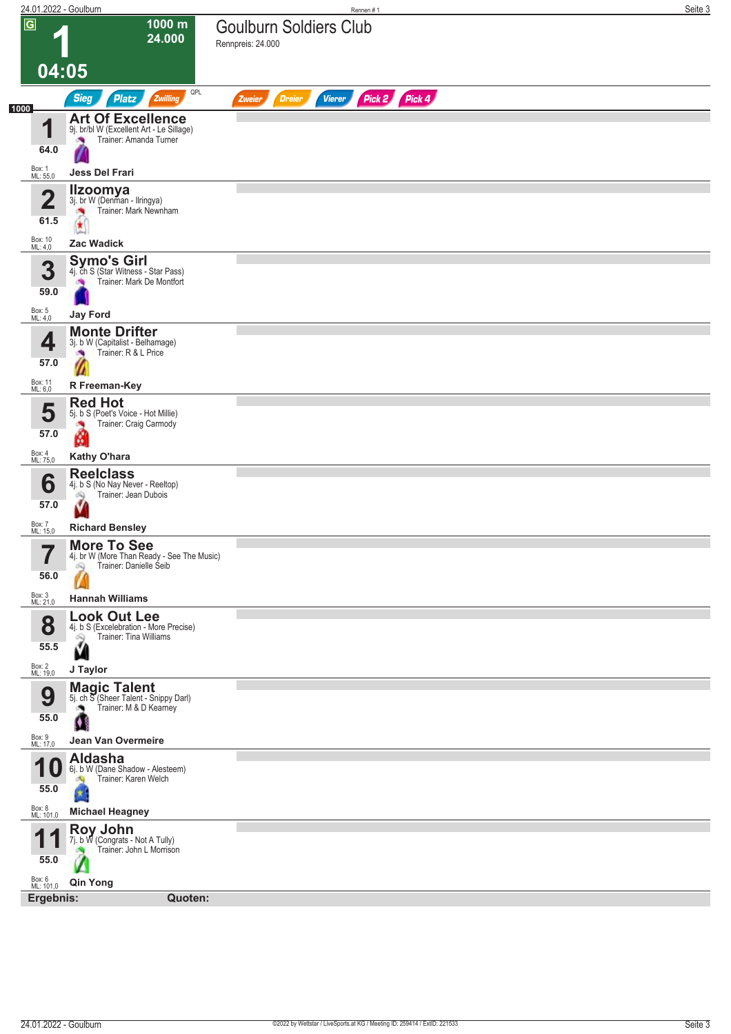|                                  | 24.01.2022 - Goulburn                                                                                  | Rennen #1                                          | Seite 3 |
|----------------------------------|--------------------------------------------------------------------------------------------------------|----------------------------------------------------|---------|
| $\overline{G}$                   | 1000 m<br>24.000                                                                                       | <b>Goulburn Soldiers Club</b><br>Rennpreis: 24.000 |         |
|                                  | 04:05                                                                                                  |                                                    |         |
| 1000                             | QPL<br><b>Sieg</b><br><b>Platz</b><br>Zwilling                                                         | Pick 2 Pick 4<br><b>Dreier</b><br>Vierer<br>Zweier |         |
| И<br>64.0                        | <b>Art Of Excellence</b><br>9j. br/bl W (Excellent Art - Le Sillage)<br>Trainer: Amanda Turner<br>×    |                                                    |         |
| Box: 1<br>ML: 55,0               | Jess Del Frari                                                                                         |                                                    |         |
| $\overline{\mathbf{2}}$<br>61.5  | <b>Ilzoomya</b><br>3j. br W (Denman - Ilringya)<br>Trainer: Mark Newnham                               |                                                    |         |
| Box: 10<br>ML: 4,0               | <b>Zac Wadick</b>                                                                                      |                                                    |         |
| 3<br>59.0                        | <b>Symo's Girl</b><br>4j. ch S (Star Witness - Star Pass)<br>Trainer: Mark De Montfort                 |                                                    |         |
| Box: 5<br>ML: 4,0                | <b>Jay Ford</b><br><b>Monte Drifter</b>                                                                |                                                    |         |
| 4<br>57.0                        | 3j. b W (Capitalist - Belhamage)<br>Trainer: R & L Price                                               |                                                    |         |
| Box: 11<br>ML: 6,0               | R Freeman-Key                                                                                          |                                                    |         |
| 5<br>57.0                        | <b>Red Hot</b><br>5j. b S (Poet's Voice - Hot Millie)<br>Trainer: Craig Carmody<br>л                   |                                                    |         |
|                                  | M                                                                                                      |                                                    |         |
| Box: 4<br>ML: 75,0               | Kathy O'hara<br><b>Reelclass</b>                                                                       |                                                    |         |
| 6<br>57.0                        | 4j. b S (No Nay Never - Reeltop)<br>Trainer: Jean Dubois<br>â                                          |                                                    |         |
| Box: 7<br>ML: 15,0               | <b>Richard Bensley</b>                                                                                 |                                                    |         |
| ۳,<br>I<br>56.0                  | <b>More To See</b><br>4j. br W (More Than Ready - See The Music)<br>Trainer: Danielle Seib<br>$\infty$ |                                                    |         |
| Box: 3<br>ML: 21,0               | <b>Hannah Williams</b>                                                                                 |                                                    |         |
| 8<br>55.5                        | <b>Look Out Lee</b><br>4j. b S (Excelebration - More Precise)<br>Trainer: Tina Williams<br>Q<br>Ň      |                                                    |         |
| Box: 2<br>ML: 19,0               | J Taylor                                                                                               |                                                    |         |
| 9                                | <b>Magic Talent</b><br>5j. ch S (Sheer Talent - Snippy Darl)<br>Trainer: M & D Kearney<br>٠            |                                                    |         |
| 55.0                             | O                                                                                                      |                                                    |         |
| Box: 9<br>ML: 17,0               | Jean Van Overmeire                                                                                     |                                                    |         |
| и<br>55.0<br>Box: 8<br>ML: 101,0 | <b>Aldasha</b><br>6j. b W (Dane Shadow - Alesteem)<br>Trainer: Karen Welch<br><b>Michael Heagney</b>   |                                                    |         |
| И<br>55.0                        | <b>Roy John</b><br>7j. b W (Congrats - Not A Tully)<br>Trainer: John L Morrison                        |                                                    |         |
| Box: 6<br>ML: 101,0              | <b>Qin Yong</b>                                                                                        |                                                    |         |
| Ergebnis:                        | Quoten:                                                                                                |                                                    |         |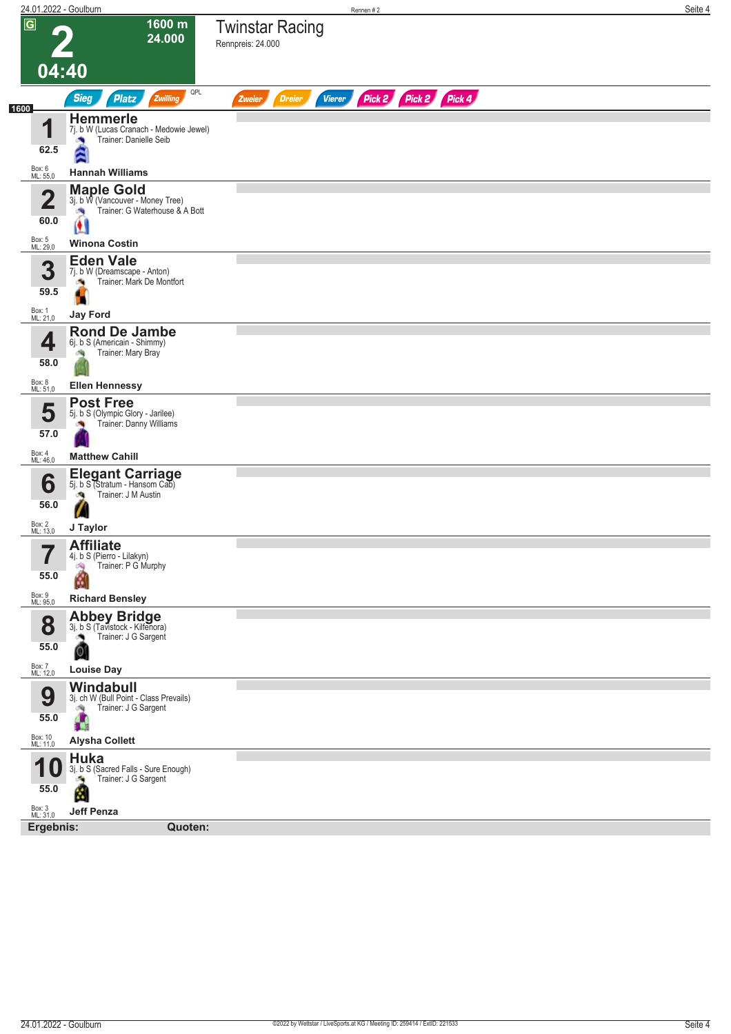| 24.01.2022 - Goulburn           |                                                                                                                 | Rennen#2                                                         | Seite 4 |
|---------------------------------|-----------------------------------------------------------------------------------------------------------------|------------------------------------------------------------------|---------|
| $\overline{G}$                  | 1600 m<br>24.000                                                                                                | <b>Twinstar Racing</b><br>Rennpreis: 24.000                      |         |
|                                 | 04:40                                                                                                           |                                                                  |         |
| 1600                            | QPL<br><b>Sieg</b><br><b>Platz</b><br>Zwilling                                                                  | Pick 2 Pick 2 Pick 4<br><b>Vierer</b><br><b>Dreier</b><br>Zweier |         |
| 1<br>62.5                       | <b>Hemmerle</b><br>7j. b W (Lucas Cranach - Medowie Jewel)<br>Trainer: Danielle Seib                            |                                                                  |         |
| Box: 6<br>ML: 55,0              | <b>Hannah Williams</b>                                                                                          |                                                                  |         |
| $\overline{\mathbf{2}}$<br>60.0 | <b>Maple Gold</b><br>3j. b W (Vancouver - Money Tree)<br>Trainer: G Waterhouse & A Bott<br>- Pe<br>$\mathbf{A}$ |                                                                  |         |
| Box: 5<br>ML: 29,0              | <b>Winona Costin</b>                                                                                            |                                                                  |         |
| 3<br>59.5                       | <b>Eden Vale</b><br>7j. b W (Dreamscape - Anton)<br>Trainer: Mark De Montfort<br>a,                             |                                                                  |         |
| Box: 1<br>ML: 21,0              | <b>Jay Ford</b>                                                                                                 |                                                                  |         |
| ◢<br>58.0                       | <b>Rond De Jambe</b><br>6j. b S (Americain - Shimmy)<br>Trainer: Mary Bray                                      |                                                                  |         |
| Box: 8<br>ML: 51,0              | <b>Ellen Hennessy</b>                                                                                           |                                                                  |         |
| 5<br>57.0                       | <b>Post Free</b><br>5j. b S (Olympic Glory - Jarilee)<br>Trainer: Danny Williams                                |                                                                  |         |
| Box: 4<br>ML: 46,0              | <b>Matthew Cahill</b>                                                                                           |                                                                  |         |
| 6<br>56.0                       | Elegant Carriage<br>Trainer: J M Austin                                                                         |                                                                  |         |
| Box: 2<br>ML: 13,0              | J Taylor                                                                                                        |                                                                  |         |
| 7<br>$\blacksquare$<br>55.0     | <b>Affiliate</b><br>4j. b S (Pierro - Lilakyn)<br>Trainer: P G Murphy<br>i Sig<br>ß                             |                                                                  |         |
| Box: 9<br>ML: 95,0              | <b>Richard Bensley</b>                                                                                          |                                                                  |         |
| 8<br>55.0                       | <b>Abbey Bridge</b><br>3j. b S (Tavistock - Kilfenora)<br>Trainer: J G Sargent<br>۸<br>Q                        |                                                                  |         |
| Box: 7<br>ML: 12,0              | <b>Louise Day</b>                                                                                               |                                                                  |         |
| 9<br>55.0                       | Windabull<br>3j. ch W (Bull Point - Class Prevails)<br>Trainer: J G Sargent<br>询                                |                                                                  |         |
| Box: 10<br>ML: 11,0             | <b>Alysha Collett</b>                                                                                           |                                                                  |         |
| и<br>55.0                       | <b>Huka</b><br>3j. b S (Sacred Falls - Sure Enough)<br>Trainer: J G Sargent<br>a.<br>×                          |                                                                  |         |
| Box: 3<br>ML: 31,0              | <b>Jeff Penza</b>                                                                                               |                                                                  |         |
| Ergebnis:                       | Quoten:                                                                                                         |                                                                  |         |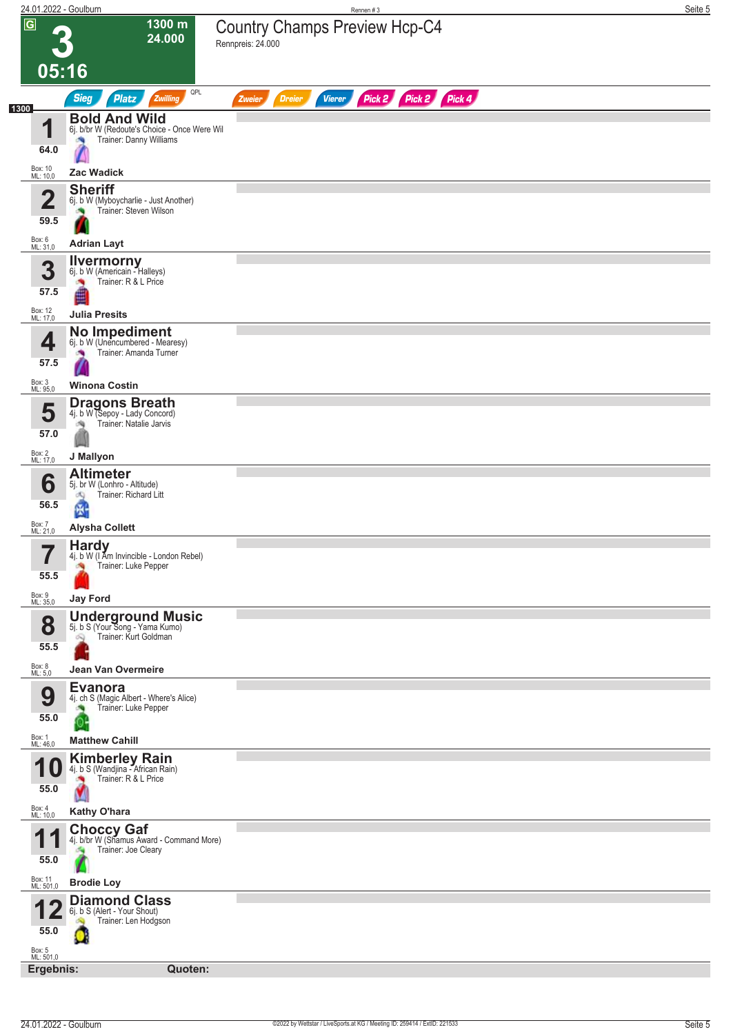| 24.01.2022 - Goulburn                                  |                                                                                                                    | Rennen #3                                                        | Seite 5 |
|--------------------------------------------------------|--------------------------------------------------------------------------------------------------------------------|------------------------------------------------------------------|---------|
| $\overline{G}$<br>05:16                                | 1300 m<br>24.000                                                                                                   | <b>Country Champs Preview Hcp-C4</b><br>Rennpreis: 24.000        |         |
|                                                        | QPL<br><b>Sieg</b><br>Zwilling<br><b>Platz</b>                                                                     | Pick 2 Pick 2 Pick 4<br><b>Dreier</b><br><b>Vierer</b><br>Zweier |         |
| 1300<br>4<br>64.0<br>Box: 10<br>ML: 10,0               | <b>Bold And Wild</b><br>6j. b/br W (Redoute's Choice - Once Were Wil<br>Trainer: Danny Williams<br>确<br>Zac Wadick |                                                                  |         |
|                                                        | <b>Sheriff</b>                                                                                                     |                                                                  |         |
| $\overline{\mathbf{2}}$<br>59.5<br>Box: 6<br>ML: 31,0  | 6j. b W (Myboycharlie - Just Another)<br>Trainer: Steven Wilson<br><b>Adrian Layt</b>                              |                                                                  |         |
| 3<br>57.5                                              | <b>Ilvermorny</b><br>6j. b W (Americain - Halleys)<br>Trainer: R & L Price<br><b>Julia Presits</b>                 |                                                                  |         |
| Box: 12<br>ML: 17,0<br>4<br>57.5<br>Box: 3<br>ML: 95,0 | No Impediment<br>6j. b W (Unencumbered - Mearesy)<br>Trainer: Amanda Turner<br>×<br><b>Winona Costin</b>           |                                                                  |         |
| 5<br>57.0                                              | <b>Dragons Breath</b><br>4j. b W (Sepoy - Lady Concord)<br>Trainer: Natalie Jarvis<br>淘                            |                                                                  |         |
| Box: 2<br>ML: 17,0<br>6<br>56.5                        | J Mallyon<br><b>Altimeter</b><br>5j. br W (Lonhro - Altitude)<br>Trainer: Richard Litt<br>dQ.<br>圈                 |                                                                  |         |
| Box: 7<br>ML: 21,0                                     | <b>Alysha Collett</b>                                                                                              |                                                                  |         |
| 57<br>55.5<br>Box: 9<br>ML: 35,0                       | <b>Hardy</b><br>4j. b W (I Am Invincible - London Rebel)<br>Trainer: Luke Pepper<br><b>Jay Ford</b>                |                                                                  |         |
| 8<br>55.5                                              | <b>Underground Music</b><br>5j. b S (Your Song - Yama Kumo)<br>Trainer: Kurt Goldman<br>Ŵ,                         |                                                                  |         |
| Box: 8<br>ML: 5,0                                      | Jean Van Overmeire                                                                                                 |                                                                  |         |
| 9<br>55.0<br>Box: 1<br>ML: 46,0                        | <b>Evanora</b><br>4j. ch S (Magic Albert - Where's Alice)<br>Trainer: Luke Pepper<br><b>Matthew Cahill</b>         |                                                                  |         |
| и<br>55.0                                              | <b>Kimberley Rain</b><br>4j. b S (Wandjina - African Rain)<br>Trainer: R & L Price                                 |                                                                  |         |
| Box: 4<br>ML: 10,0                                     | Kathy O'hara                                                                                                       |                                                                  |         |
| 4<br>и<br>55.0                                         | <b>Choccy Gaf</b><br>4j. b/br W (Shamus Award - Command More)<br>Trainer: Joe Cleary                               |                                                                  |         |
| Box: 11<br>ML: 501,0                                   | <b>Brodie Loy</b>                                                                                                  |                                                                  |         |
| 55.0<br>Box: 5<br>ML: 501,0                            | <b>Diamond Class</b><br>6j. b S (Alert - Your Shout)<br>Trainer: Len Hodgson                                       |                                                                  |         |
| Ergebnis:                                              | Quoten:                                                                                                            |                                                                  |         |
|                                                        |                                                                                                                    |                                                                  |         |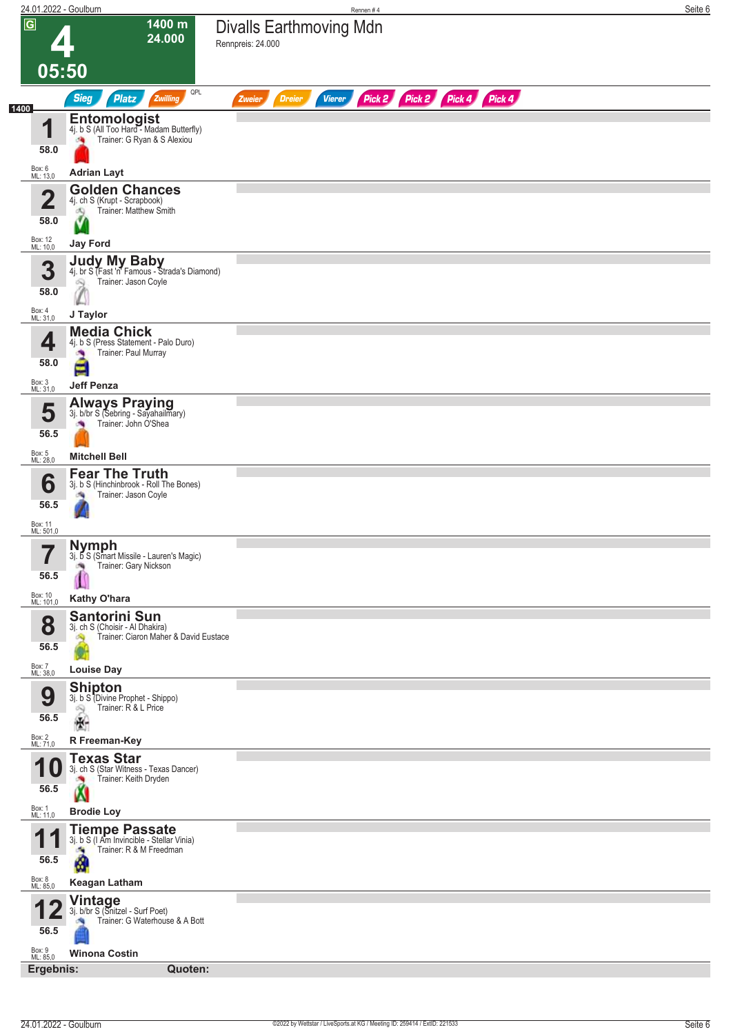|                                   | 24.01.2022 - Goulburn                                                                                    | Rennen#4                                                                | Seite 6 |
|-----------------------------------|----------------------------------------------------------------------------------------------------------|-------------------------------------------------------------------------|---------|
| $\overline{G}$                    | 1400 m<br>24.000                                                                                         | <b>Divalls Earthmoving Mdn</b><br>Rennpreis: 24.000                     |         |
|                                   | 05:50<br>QPL                                                                                             |                                                                         |         |
| 1400                              | <b>Sieg</b><br><b>Platz</b><br>Zwilling                                                                  | Pick 2 Pick 2 Pick 4 Pick 4<br><b>Dreier</b><br><b>Vierer</b><br>Zweier |         |
| И<br>Ш<br>58.0                    | <b>Entomologist</b><br>4j. b S (All Too Hard - Madam Butterfly)<br>Trainer: G Ryan & S Alexiou<br>鸿      |                                                                         |         |
| Box: 6<br>ML: 13,0                | <b>Adrian Layt</b>                                                                                       |                                                                         |         |
| $\overline{\mathbf{2}}$           | <b>Golden Chances</b><br>4j. ch S (Krupt - Scrapbook)<br>Trainer: Matthew Smith<br>dQ                    |                                                                         |         |
| 58.0<br>Box: 12<br>ML: 10,0       | <b>Jay Ford</b>                                                                                          |                                                                         |         |
| 3<br>58.0                         | <b>Judy My Baby</b><br>4j. br S (Fast 'n' Famous - Strada's Diamond)<br>Trainer: Jason Coyle<br>叫        |                                                                         |         |
| Box: 4<br>ML: 31,0                | J Taylor                                                                                                 |                                                                         |         |
| 4<br>58.0                         | <b>Media Chick</b><br>4j. b S (Press Statement - Palo Duro)<br>Trainer: Paul Murray<br><b>SA</b><br>E    |                                                                         |         |
| Box: 3<br>ML: 31,0                | <b>Jeff Penza</b>                                                                                        |                                                                         |         |
| 5<br>56.5                         | <b>Always Praying</b><br>3j. b/br S (Sebring - Sayahailmary)<br>Trainer: John Ó'Shea                     |                                                                         |         |
| Box: 5<br>ML: 28,0                | <b>Mitchell Bell</b>                                                                                     |                                                                         |         |
| 6<br>56.5<br>Box: 11<br>ML: 501,0 | <b>Fear The Truth</b><br>3j. b S (Hinchinbrook - Roll The Bones)<br>Trainer: Jason Coyle                 |                                                                         |         |
| $\overline{\phantom{a}}$<br>56.5  | <b>Nymph</b><br>3j. b S (Smart Missile - Lauren's Magic)<br>Trainer: Gary Nickson<br>哅                   |                                                                         |         |
| Box: 10<br>ML: 101,0              | Kathy O'hara<br><b>Santorini Sun</b>                                                                     |                                                                         |         |
| 8<br>56.5<br>Box: 7<br>ML: 38,0   | 3j. ch S (Choisir - Al Dhakira)<br>Trainer: Ciaron Maher & David Eustace<br><b>Louise Day</b>            |                                                                         |         |
| 9<br>56.5<br>Box: 2<br>ML: 71,0   | <b>Shipton</b><br>3j. b S (Divine Prophet - Shippo)<br>Trainer: R & L Price<br>-9<br>÷.<br>R Freeman-Key |                                                                         |         |
|                                   | <b>Texas Star</b>                                                                                        |                                                                         |         |
| U<br>56.5                         | 3j. ch S (Star Witness - Texas Dancer)<br>Trainer: Keith Dryden                                          |                                                                         |         |
| Box: 1<br>ML: 11,0                | <b>Brodie Loy</b>                                                                                        |                                                                         |         |
| 4<br>56.5                         | <b>Tiempe Passate</b><br>3j. b S (I Am Invincible - Stellar Vinia)<br>Trainer: R & M Freedman<br>a,<br>K |                                                                         |         |
| Box: 8<br>ML: 85,0                | <b>Keagan Latham</b>                                                                                     |                                                                         |         |
| 56.5<br>Box: 9<br>ML: 85,0        | Vintage<br>3j. b/br S (Snitzel - Surf Poet)<br>Trainer: G Waterhouse & A Bott<br><b>Winona Costin</b>    |                                                                         |         |
| Ergebnis:                         | Quoten:                                                                                                  |                                                                         |         |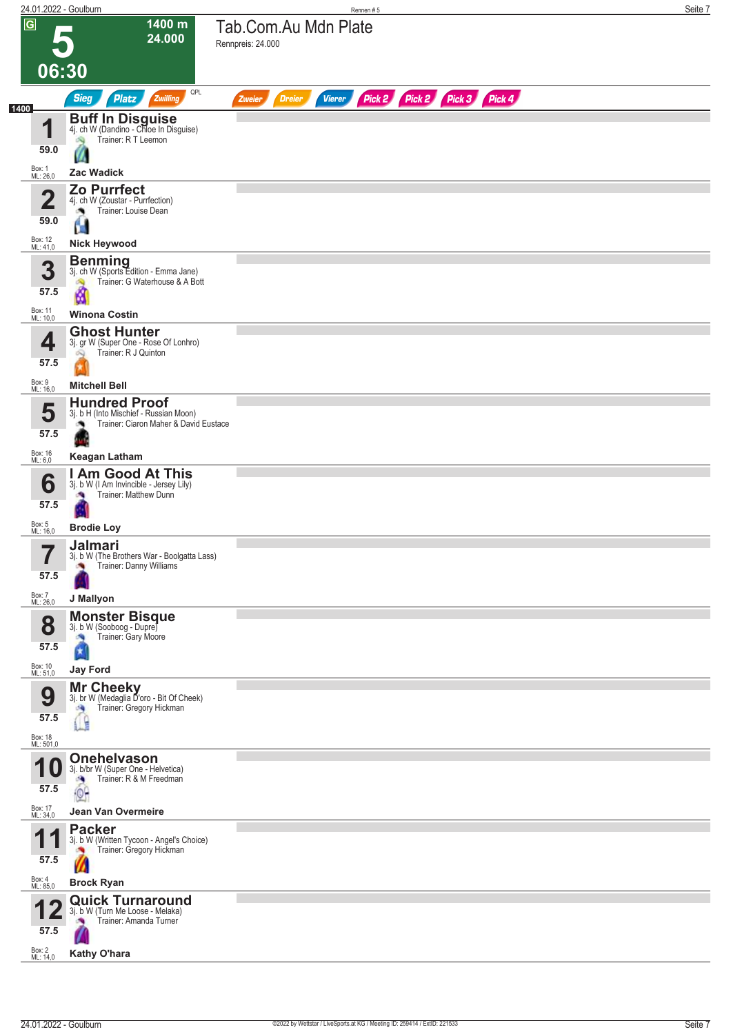|                                         | 24.01.2022 - Goulburn                                                                                                        | Rennen #5                                                               | Seite 7 |
|-----------------------------------------|------------------------------------------------------------------------------------------------------------------------------|-------------------------------------------------------------------------|---------|
| $\overline{G}$                          | 1400 m<br>24.000<br>06:30                                                                                                    | Tab.Com.Au Mdn Plate<br>Rennpreis: 24.000                               |         |
|                                         | QPL<br><b>Sieg</b><br><b>Platz</b><br>Zwilling                                                                               | Pick 2 Pick 2 Pick 3 Pick 4<br><b>Dreier</b><br><b>Vierer</b><br>Zweier |         |
| 1400<br>1<br>59.0<br>Box: 1<br>ML: 26,0 | <b>Buff In Disguise</b><br>4j. ch W (Dandino - Chloe In Disguise)<br>Trainer: R T Leemon<br>ंचे<br>Zac Wadick                |                                                                         |         |
|                                         | Zo Purrfect                                                                                                                  |                                                                         |         |
| Ø<br>59.0<br>Box: 12<br>ML: 41,0        | 4j. ch W (Zoustar - Purrfection)<br>Trainer: Louise Dean<br>۸<br>D.<br><b>Nick Heywood</b>                                   |                                                                         |         |
|                                         |                                                                                                                              |                                                                         |         |
| 3<br>57.5<br>Box: 11<br>ML: 10,0        | <b>Benming</b><br>3j. ch W (Sports Edition - Emma Jane)<br>Trainer: G Waterhouse & A Bott<br>ó.<br>М<br><b>Winona Costin</b> |                                                                         |         |
|                                         |                                                                                                                              |                                                                         |         |
| 4<br>57.5                               | <b>Ghost Hunter</b><br>3j. gr W (Super One - Rose Of Lonhro)<br>Trainer: R J Quinton<br>Ŵ                                    |                                                                         |         |
| Box: 9<br>ML: 16,0                      | <b>Mitchell Bell</b>                                                                                                         |                                                                         |         |
| 5<br>57.5                               | <b>Hundred Proof</b><br>3j. b H (Into Mischief - Russian Moon)<br>Trainer: Ciaron Maher & David Eustace                      |                                                                         |         |
| Box: 16<br>ML: 6,0                      | <b>Keagan Latham</b>                                                                                                         |                                                                         |         |
| 6<br>57.5                               | <b>Am Good At This</b><br>3j. b W (I Am Invincible - Jersey Lily)<br>Trainer: Matthew Dunn                                   |                                                                         |         |
| Box: 5<br>ML: 16,0                      | <b>Brodie Loy</b>                                                                                                            |                                                                         |         |
| 7<br>57.5                               | Jalmari<br>3j. b W (The Brothers War - Boolgatta Lass)<br>Trainer: Danny Williams                                            |                                                                         |         |
| Box: 7<br>ML: 26,0                      | J Mallyon                                                                                                                    |                                                                         |         |
| 8<br>57.5<br>Box: 10<br>ML: 51,0        | <b>Monster Bisque</b><br>3j. b W (Sooboog - Dupre)<br>Trainer: Gary Moore<br>×,<br>$\star$<br><b>Jay Ford</b>                |                                                                         |         |
|                                         | <b>Mr Cheeky</b>                                                                                                             |                                                                         |         |
| 9<br>57.5<br>Box: 18<br>ML: 501,0       | 3j. br W (Medaglia D'oro - Bit Of Cheek)<br>Trainer: Gregory Hickman<br>A                                                    |                                                                         |         |
| И                                       | <b>Onehelvason</b>                                                                                                           |                                                                         |         |
| 57.5                                    | 3j. b/br W (Super One - Helvetica)<br>Trainer: R & M Freedman<br>a,<br>$^{\circ}$                                            |                                                                         |         |
| Box: 17<br>ML: 34,0                     | Jean Van Overmeire                                                                                                           |                                                                         |         |
| А<br>57.5                               | <b>Packer</b><br>3j. b W (Written Tycoon - Angel's Choice)<br>Trainer: Gregory Hickman<br><b>CON</b><br>Ø                    |                                                                         |         |
| Box: 4<br>ML: 85,0                      | <b>Brock Ryan</b>                                                                                                            |                                                                         |         |
| 57.5<br>Box: 2<br>ML: 14,0              | <b>Quick Turnaround</b><br>3j. b W (Turn Me Loose - Melaka)<br>Trainer: Amanda Turner<br>Kathy O'hara                        |                                                                         |         |
|                                         |                                                                                                                              |                                                                         |         |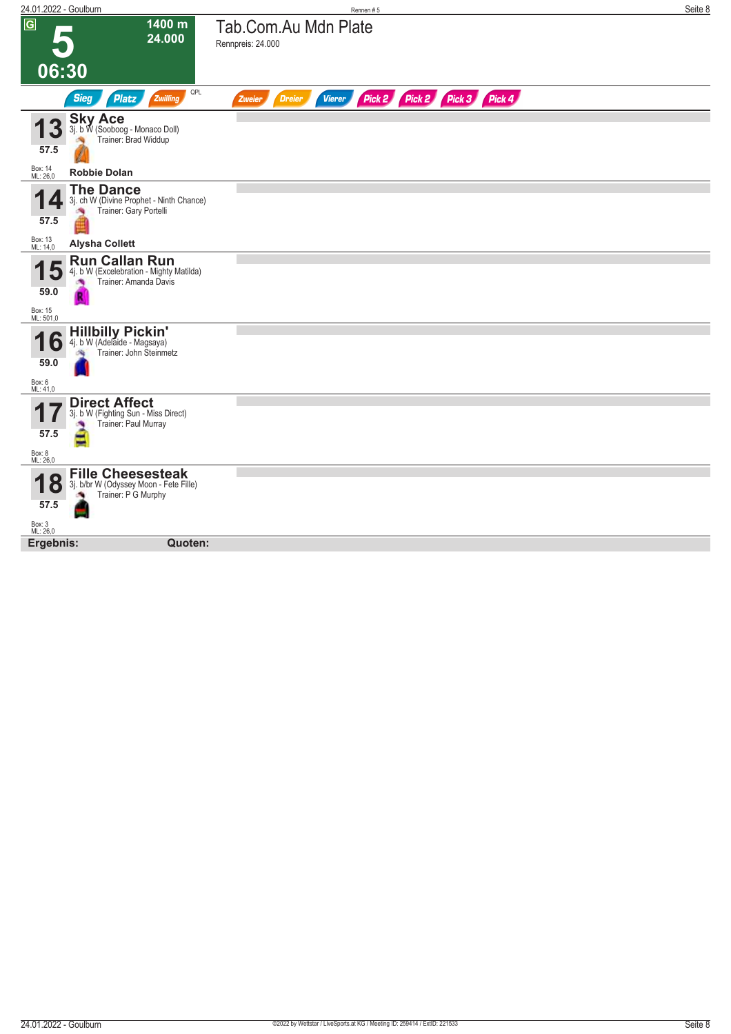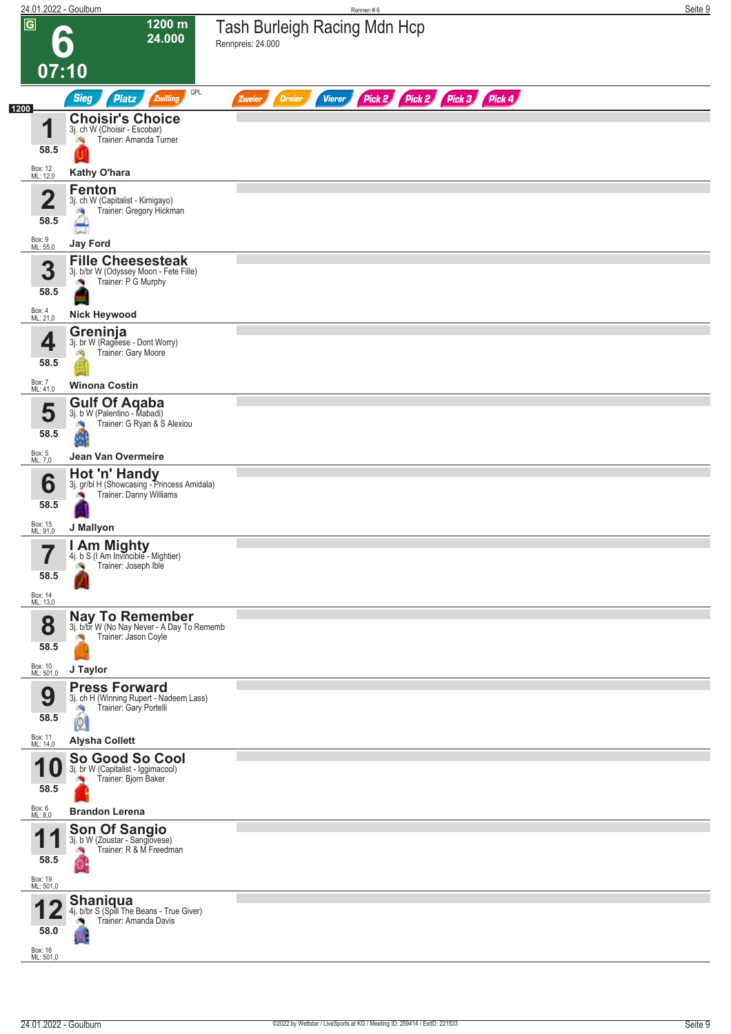|                |                                                    | 24.01.2022 - Goulburn                                                                                          | Rennen#6                                                                | Seite 9 |
|----------------|----------------------------------------------------|----------------------------------------------------------------------------------------------------------------|-------------------------------------------------------------------------|---------|
| $\overline{G}$ |                                                    | 1200 m<br>24.000                                                                                               | <b>Tash Burleigh Racing Mdn Hcp</b><br>Rennpreis: 24.000                |         |
|                | 07:10                                              |                                                                                                                |                                                                         |         |
|                |                                                    | QPL<br><b>Sieg</b><br>Platz<br>Zwilling                                                                        | Pick 2 Pick 2 Pick 3 Pick 4<br><b>Vierer</b><br><b>Dreier</b><br>Zweier |         |
| 1200           | и<br>58.5                                          | <b>Choisir's Choice</b><br>3j. ch W (Choisir - Escobar)<br>Trainer: Amanda Turner                              |                                                                         |         |
|                | Box: 12<br>ML: 12,0                                | Kathy O'hara                                                                                                   |                                                                         |         |
|                | 2<br>◢<br>58.5                                     | <b>Fenton</b><br>3j. ch W (Capitalist - Kimigayo)<br>Trainer: Gregory Hickman<br>÷,                            |                                                                         |         |
|                | Box: 9<br>ML: 55,0                                 | <b>Jay Ford</b>                                                                                                |                                                                         |         |
|                | 3<br>58.5                                          | <b>Fille Cheesesteak</b><br>3j. b/br W (Odyssey Moon - Fete Fille)<br>Trainer: P G Murphy                      |                                                                         |         |
|                | Box: 4<br>ML: 21,0                                 | <b>Nick Heywood</b>                                                                                            |                                                                         |         |
|                | 4<br>58.5                                          | Greninja<br>3j. br W (Rageese - Dont Worry)<br>Trainer: Gary Moore<br>đQ                                       |                                                                         |         |
|                | Box: 7<br>ML: 41,0                                 | <b>Winona Costin</b>                                                                                           |                                                                         |         |
|                | 5<br>58.5                                          | <b>Gulf Of Agaba</b><br>3j. b W (Palentino - Mabadi)<br>Trainer: G Ryan & S Alexiou<br>ű                       |                                                                         |         |
|                | Box: 5<br>ML: 7,0                                  | Jean Van Overmeire                                                                                             |                                                                         |         |
|                | 6<br>58.5                                          | Hot 'n' Handy<br>3j. gr/bl H (Showcasing - Princess Amidala)<br>Trainer: Danny Williams                        |                                                                         |         |
|                | Box: 15<br>ML: 91,0                                | J Mallyon                                                                                                      |                                                                         |         |
|                | 7<br>$\blacksquare$<br>58.5<br>Box: 14<br>ML: 13,0 | I Am Mighty<br>4j. b S (I Am Invincible - Mightier)<br>Trainer: Joseph Ible<br>з,                              |                                                                         |         |
|                | 8<br>58.5<br>Box: 10<br>ML: 501,0                  | Nay To Remember<br>3j. b/br W (No Nay Never - A Day To Rememb<br>Trainer: Jason Coyle<br>J Taylor              |                                                                         |         |
|                | 9<br>58.5                                          | <b>Press Forward</b><br>3j. ch H (Winning Rupert - Nadeem Lass)<br>Trainer: Gary Portelli<br>÷,<br>$\boxed{0}$ |                                                                         |         |
|                | Box: 11<br>ML: 14,0                                | <b>Alysha Collett</b>                                                                                          |                                                                         |         |
|                | U<br>58.5<br>Box: 6<br>ML: 8,0                     | So Good So Cool<br>3j. br W (Capitalist - Iggimacool)<br>Trainer: Bjorn Baker<br><b>Brandon Lerena</b>         |                                                                         |         |
|                |                                                    | <b>Son Of Sangio</b>                                                                                           |                                                                         |         |
|                | и<br>58.5<br>Box: 19<br>ML: 501,0                  | 3j. b W (Zoustar - Sanglovese)<br>Trainer: R & M Freedman                                                      |                                                                         |         |
|                | 58.0<br>Box: 16<br>ML: 501,0                       | <b>Shaniqua</b><br>4j. b/br S (Spill The Beans - True Giver)<br>Trainer: Amanda Davis                          |                                                                         |         |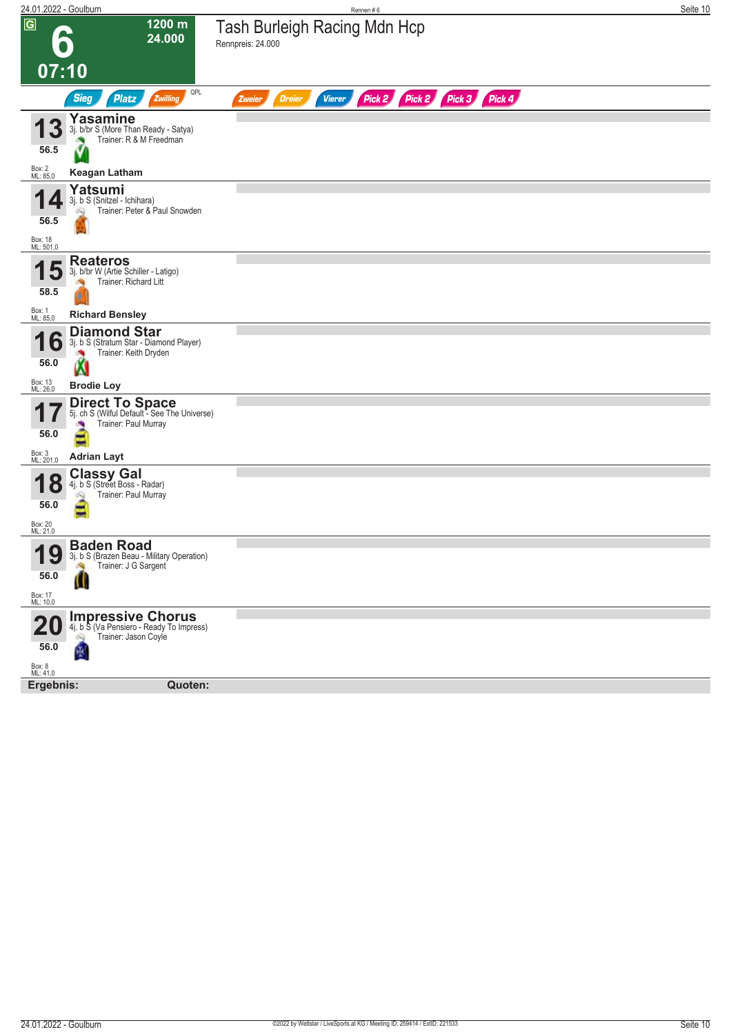| 24.01.2022 - Goulburn                        |                                                                                                                           | Rennen#6                                                                | Seite 10 |
|----------------------------------------------|---------------------------------------------------------------------------------------------------------------------------|-------------------------------------------------------------------------|----------|
| $\overline{G}$                               | 1200 m<br>24.000                                                                                                          | <b>Tash Burleigh Racing Mdn Hcp</b><br>Rennpreis: 24.000                |          |
| 07:10                                        |                                                                                                                           |                                                                         |          |
|                                              | QPL<br><b>Sieg</b><br>Platz<br>Zwilling                                                                                   | Pick 2 Pick 2 Pick 3 Pick 4<br><b>Dreier</b><br><b>Vierer</b><br>Zweier |          |
| 3<br>56.5                                    | Yasamine<br>3j. b/br S (More Than Ready - Satya)<br>Trainer: R & M Freedman                                               |                                                                         |          |
| Box: 2<br>ML: 85,0                           | <b>Keagan Latham</b>                                                                                                      |                                                                         |          |
| 56.5<br>Box: 18<br>ML: 501,0                 | Yatsumi<br>3j. b S (Snitzel - Ichihara)<br>Trainer: Peter & Paul Snowden                                                  |                                                                         |          |
| b<br>58.5                                    | <b>Reateros</b><br>3j. b/br W (Artie Schiller - Latigo)<br>Trainer: Richard Litt                                          |                                                                         |          |
| Box: 1<br>ML: 85,0                           | <b>Richard Bensley</b>                                                                                                    |                                                                         |          |
| O<br>56.0<br>Box: 13<br>ML: 26,0             | <b>Diamond Star</b><br>3j. b S (Stratum Star - Diamond Player)<br>Trainer: Keith Dryden<br>Ń<br><b>Brodie Loy</b>         |                                                                         |          |
| 56.0<br>Box: 3<br>ML: 201,0                  | <b>Direct To Space</b><br>5j. ch S (Wilful Default - See The Universe)<br>Trainer: Paul Murray<br>Ξ<br><b>Adrian Layt</b> |                                                                         |          |
| <b>18</b><br>56.0<br>Box: 20<br>ML: 21,0     | <b>Classy Gal</b><br>4j. b S (Street Boss - Radar)<br>Trainer: Paul Murray<br>-                                           |                                                                         |          |
| Q<br>1<br>I J<br>56.0<br>Box: 17<br>ML: 10,0 | <b>Baden Road</b><br>3j. b S (Brazen Beau - Military Operation)<br>Trainer: J G Sargent                                   |                                                                         |          |
| 56.0                                         | <b>Impressive Chorus</b><br>4j. b S (Va Pensiero - Ready To Impress)<br>Trainer: Jason Coyle<br>$\mathbb{Z}$<br>阌         |                                                                         |          |
| Box: 8<br>ML: 41,0                           |                                                                                                                           |                                                                         |          |
| Ergebnis:                                    | Quoten:                                                                                                                   |                                                                         |          |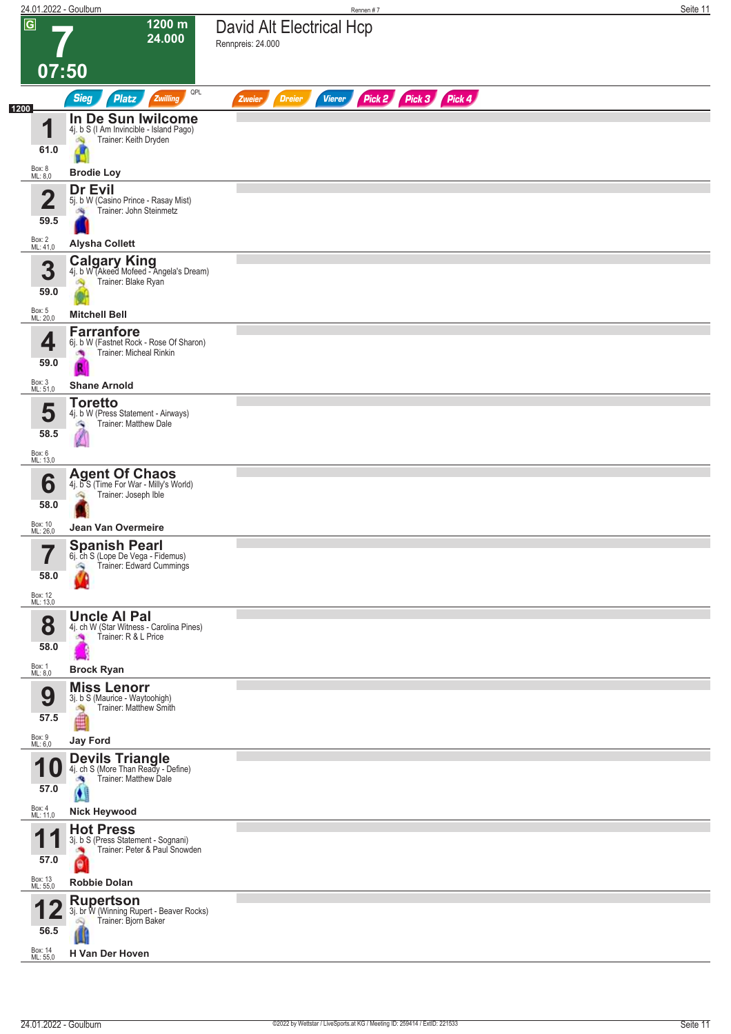|                         |                                | 24.01.2022 - Goulburn                                                                                   | Rennen #7                                                        | Seite 11 |
|-------------------------|--------------------------------|---------------------------------------------------------------------------------------------------------|------------------------------------------------------------------|----------|
| $\overline{\mathsf{G}}$ |                                | $1200 \text{ m}$<br>24.000                                                                              | David Alt Electrical Hcp<br>Rennpreis: 24.000                    |          |
|                         | 07:50                          | QPL                                                                                                     |                                                                  |          |
| 1200                    |                                | <b>Sieg</b><br><b>Platz</b><br>Zwilling                                                                 | Pick 2 Pick 3 Pick 4<br><b>Dreier</b><br><b>Vierer</b><br>Zweier |          |
|                         | И<br>61.0<br>Box: 8<br>ML: 8,0 | In De Sun Iwilcome<br>4j. b S (I Am Invincible - Island Pago)<br>Trainer: Keith Dryden                  |                                                                  |          |
|                         |                                | <b>Brodie Loy</b><br>Dr Evil                                                                            |                                                                  |          |
|                         | ŋ<br>$\blacktriangle$<br>59.5  | 5j. b W (Casino Prince - Rasay Mist)<br>Trainer: John Steinmetz                                         |                                                                  |          |
|                         | Box: 2<br>ML: 41,0             | <b>Alysha Collett</b>                                                                                   |                                                                  |          |
|                         | 3<br>59.0                      | <b>Calgary King</b><br>4j. b W (Akeed Mofeed - Angela's Dream)<br>Trainer: Blake Ryan                   |                                                                  |          |
|                         | Box: 5<br>ML: 20,0             | <b>Mitchell Bell</b>                                                                                    |                                                                  |          |
|                         | 4<br>59.0                      | <b>Farranfore</b><br>6j. b W (Fastnet Rock - Rose Of Sharon)<br>Trainer: Micheal Rinkin<br><b>CO</b>    |                                                                  |          |
|                         | Box: 3<br>ML: 51,0             | <b>Shane Arnold</b>                                                                                     |                                                                  |          |
|                         | 5<br>58.5                      | <b>Toretto</b><br>4j. b W (Press Statement - Airways)<br>Trainer: Matthew Dale<br>G.                    |                                                                  |          |
|                         | Box: 6<br>ML: 13,0             |                                                                                                         |                                                                  |          |
|                         | 6<br>58.0                      | <b>Agent Of Chaos</b><br>4j. b S (Time For War - Milly's World)<br>Trainer: Joseph Ible<br>ó.           |                                                                  |          |
|                         | Box: 10<br>ML: 26,0            | Jean Van Overmeire                                                                                      |                                                                  |          |
|                         | 7<br>58.0                      | Spanish Pearl<br>6j. ch S (Lope De Vega - Fidemus)<br>Trainer: Edward Cummings<br>Ą                     |                                                                  |          |
|                         | Box: 12<br>ML: 13,0            |                                                                                                         |                                                                  |          |
|                         | 8<br>58.0                      | <b>Uncle Al Pal</b><br>4j. ch W (Star Witness - Carolina Pines)<br>Trainer: R & L Price                 |                                                                  |          |
|                         | Box: 1<br>ML: 8,0              | <b>Brock Ryan</b>                                                                                       |                                                                  |          |
|                         | 9<br>57.5                      | <b>Miss Lenorr</b><br>3j. b S (Maurice - Waytoohigh)<br>Trainer: Matthew Smith<br>≝                     |                                                                  |          |
|                         | Box: 9<br>ML: 6,0              | <b>Jay Ford</b>                                                                                         |                                                                  |          |
|                         | U<br>57.0                      | <b>Devils Triangle</b><br>4j. ch S (More Than Ready - Define)<br>Trainer: Matthew Dale                  |                                                                  |          |
|                         | Box: 4<br>ML: 11,0             | Ø<br><b>Nick Heywood</b>                                                                                |                                                                  |          |
|                         |                                | <b>Hot Press</b>                                                                                        |                                                                  |          |
|                         | И<br>57.0                      | 3j. b S (Press Statement - Sognani)<br>Trainer: Peter & Paul Snowden<br>×                               |                                                                  |          |
|                         | Box: 13<br>ML: 55,0            | <b>Robbie Dolan</b>                                                                                     |                                                                  |          |
|                         | 56.5<br>Box: 14<br>ML: 55,0    | <b>Rupertson</b><br>3j. br W (Winning Rupert - Beaver Rocks)<br>Trainer: Bjorn Baker<br>H Van Der Hoven |                                                                  |          |
|                         |                                |                                                                                                         |                                                                  |          |